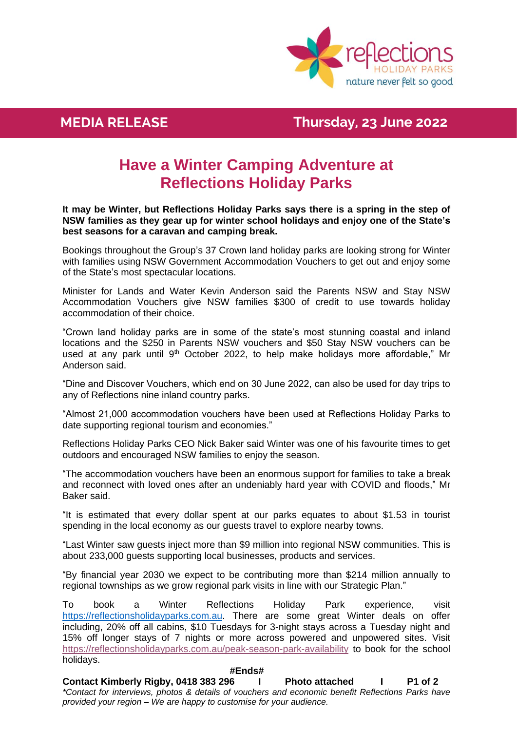

## **MEDIA RELEASE Thursday, 23 June 2022**

# **Have a Winter Camping Adventure at Reflections Holiday Parks**

**It may be Winter, but Reflections Holiday Parks says there is a spring in the step of NSW families as they gear up for winter school holidays and enjoy one of the State's best seasons for a caravan and camping break.**

Bookings throughout the Group's 37 Crown land holiday parks are looking strong for Winter with families using NSW Government Accommodation Vouchers to get out and enjoy some of the State's most spectacular locations.

Minister for Lands and Water Kevin Anderson said the Parents NSW and Stay NSW Accommodation Vouchers give NSW families \$300 of credit to use towards holiday accommodation of their choice.

"Crown land holiday parks are in some of the state's most stunning coastal and inland locations and the \$250 in Parents NSW vouchers and \$50 Stay NSW vouchers can be used at any park until 9<sup>th</sup> October 2022, to help make holidays more affordable," Mr Anderson said.

"Dine and Discover Vouchers, which end on 30 June 2022, can also be used for day trips to any of Reflections nine inland country parks.

"Almost 21,000 accommodation vouchers have been used at Reflections Holiday Parks to date supporting regional tourism and economies."

Reflections Holiday Parks CEO Nick Baker said Winter was one of his favourite times to get outdoors and encouraged NSW families to enjoy the season.

"The accommodation vouchers have been an enormous support for families to take a break and reconnect with loved ones after an undeniably hard year with COVID and floods," Mr Baker said.

"It is estimated that every dollar spent at our parks equates to about \$1.53 in tourist spending in the local economy as our guests travel to explore nearby towns.

"Last Winter saw guests inject more than \$9 million into regional NSW communities. This is about 233,000 guests supporting local businesses, products and services.

"By financial year 2030 we expect to be contributing more than \$214 million annually to regional townships as we grow regional park visits in line with our Strategic Plan."

To book a Winter Reflections Holiday Park experience, visit [https://reflectionsholidayparks.com.au.](https://reflectionsholidayparks.com.au/) There are some great Winter deals on offer including, 20% off all cabins, \$10 Tuesdays for 3-night stays across a Tuesday night and 15% off longer stays of 7 nights or more across powered and unpowered sites. Visit [https://reflectionsholidayparks.com.au/peak-season-park-availability](http://url6861.releases.medianet.com.au/ls/click?upn=B8NE7CRkW4hCmh1dHfJbPnkXXEHsUpBV2zsWY1lrLH-2B2XcK1HmvwnmMuYsxEKU1HfTkwvozX7GPEFLnrO3Q-2Brzxze9dXvRB-2BnM8Q-2BkGMC4c-3DIVdZ_X-2BtC6GRtNSDwLXTB6q9PBh9Ko-2BRBw1oDli9JOvNFicyCOJ5axpjM0vPurE03iCBVEzOkOSi9fm-2FL6dFB2g7aUa0aR7lklbPnDFXLAOiXGK4hTl5VR0UmCkidXw2iOETBJPZHDGBmL2rHJRLvv6wkqtKgFDuj6ZMzVEg9hfrXULP49gIB4Zxd334dPNvIdqRNrYfxPRkZDApIGT8sSYvB6VYvPLxpPZgjCaF8c3KxP-2FxWGl77F-2F-2FNqUwHYn716yufUFv1zvDJBLVWPHvPuPZBEt2Z1efHCIZQmjiOG-2FaqrqWlwvTV6aj7kDZG7d1f1YjQ1D7PF5TkZDdHAetpVW98rvoINP-2B6BgOuTEZ0ba9JpLrJdoteoIdvr6MZATtEvyvC) to book for the school holidays.

### **#Ends#**

**Contact Kimberly Rigby, 0418 383 296 I Photo attached I P1 of 2** *\*Contact for interviews, photos & details of vouchers and economic benefit Reflections Parks have provided your region – We are happy to customise for your audience.*